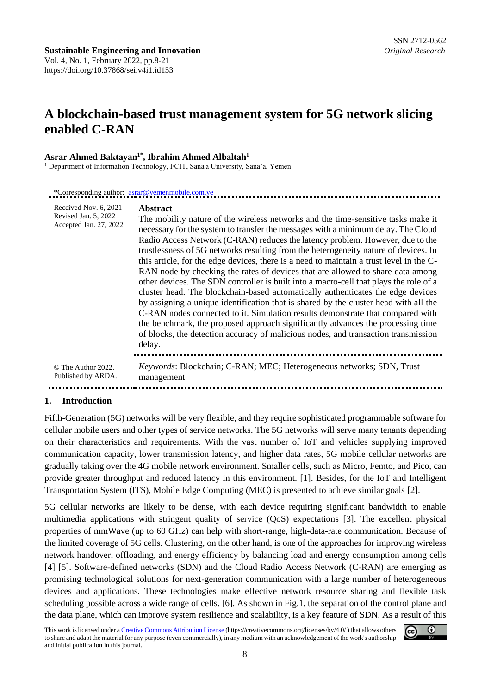# **A blockchain-based trust management system for 5G network slicing enabled C-RAN**

#### **Asrar Ahmed Baktayan1\*, Ibrahim Ahmed Albaltah<sup>1</sup>**

<sup>1</sup> Department of Information Technology, FCIT, Sana'a University, Sana'a, Yemen

| *Corresponding author: <u>asrar@yemenmobile.com.ye</u>                  |                                                                                                                                                                                                                                                                                                                                                                                                                                                                                                                                                                                                                                                                                                                                                                                                                                                                                                                                                                                                                                                                                         |  |
|-------------------------------------------------------------------------|-----------------------------------------------------------------------------------------------------------------------------------------------------------------------------------------------------------------------------------------------------------------------------------------------------------------------------------------------------------------------------------------------------------------------------------------------------------------------------------------------------------------------------------------------------------------------------------------------------------------------------------------------------------------------------------------------------------------------------------------------------------------------------------------------------------------------------------------------------------------------------------------------------------------------------------------------------------------------------------------------------------------------------------------------------------------------------------------|--|
| Received Nov. 6, 2021<br>Revised Jan. 5, 2022<br>Accepted Jan. 27, 2022 | <b>Abstract</b><br>The mobility nature of the wireless networks and the time-sensitive tasks make it<br>necessary for the system to transfer the messages with a minimum delay. The Cloud<br>Radio Access Network (C-RAN) reduces the latency problem. However, due to the<br>trustlessness of 5G networks resulting from the heterogeneity nature of devices. In<br>this article, for the edge devices, there is a need to maintain a trust level in the C-<br>RAN node by checking the rates of devices that are allowed to share data among<br>other devices. The SDN controller is built into a macro-cell that plays the role of a<br>cluster head. The blockchain-based automatically authenticates the edge devices<br>by assigning a unique identification that is shared by the cluster head with all the<br>C-RAN nodes connected to it. Simulation results demonstrate that compared with<br>the benchmark, the proposed approach significantly advances the processing time<br>of blocks, the detection accuracy of malicious nodes, and transaction transmission<br>delay. |  |
| © The Author 2022.<br>Published by ARDA.                                | Keywords: Blockchain; C-RAN; MEC; Heterogeneous networks; SDN, Trust<br>management                                                                                                                                                                                                                                                                                                                                                                                                                                                                                                                                                                                                                                                                                                                                                                                                                                                                                                                                                                                                      |  |
|                                                                         |                                                                                                                                                                                                                                                                                                                                                                                                                                                                                                                                                                                                                                                                                                                                                                                                                                                                                                                                                                                                                                                                                         |  |

#### **1. Introduction**

Fifth-Generation (5G) networks will be very flexible, and they require sophisticated programmable software for cellular mobile users and other types of service networks. The 5G networks will serve many tenants depending on their characteristics and requirements. With the vast number of IoT and vehicles supplying improved communication capacity, lower transmission latency, and higher data rates, 5G mobile cellular networks are gradually taking over the 4G mobile network environment. Smaller cells, such as Micro, Femto, and Pico, can provide greater throughput and reduced latency in this environment. [1]. Besides, for the IoT and Intelligent Transportation System (ITS), Mobile Edge Computing (MEC) is presented to achieve similar goals [2].

5G cellular networks are likely to be dense, with each device requiring significant bandwidth to enable multimedia applications with stringent quality of service (QoS) expectations [3]. The excellent physical properties of mmWave (up to 60 GHz) can help with short-range, high-data-rate communication. Because of the limited coverage of 5G cells. Clustering, on the other hand, is one of the approaches for improving wireless network handover, offloading, and energy efficiency by balancing load and energy consumption among cells [4] [5]. Software-defined networks (SDN) and the Cloud Radio Access Network (C-RAN) are emerging as promising technological solutions for next-generation communication with a large number of heterogeneous devices and applications. These technologies make effective network resource sharing and flexible task scheduling possible across a wide range of cells. [6]. As shown in Fig.1, the separation of the control plane and the data plane, which can improve system resilience and scalability, is a key feature of SDN. As a result of this

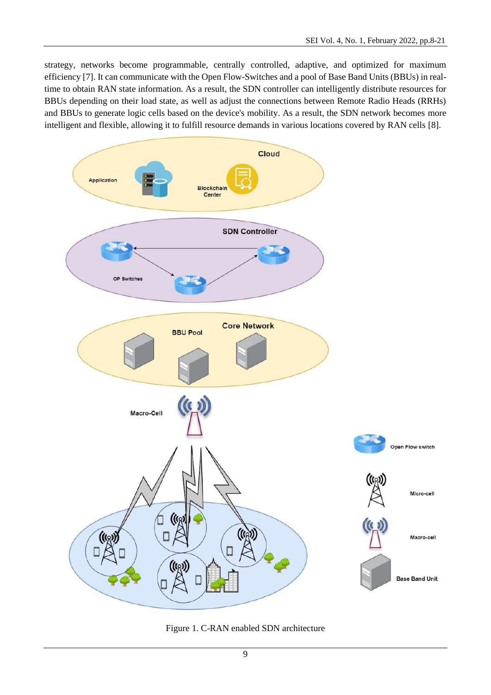strategy, networks become programmable, centrally controlled, adaptive, and optimized for maximum efficiency [7]. It can communicate with the Open Flow-Switches and a pool of Base Band Units (BBUs) in realtime to obtain RAN state information. As a result, the SDN controller can intelligently distribute resources for BBUs depending on their load state, as well as adjust the connections between Remote Radio Heads (RRHs) and BBUs to generate logic cells based on the device's mobility. As a result, the SDN network becomes more intelligent and flexible, allowing it to fulfill resource demands in various locations covered by RAN cells [8].



Figure 1. C-RAN enabled SDN architecture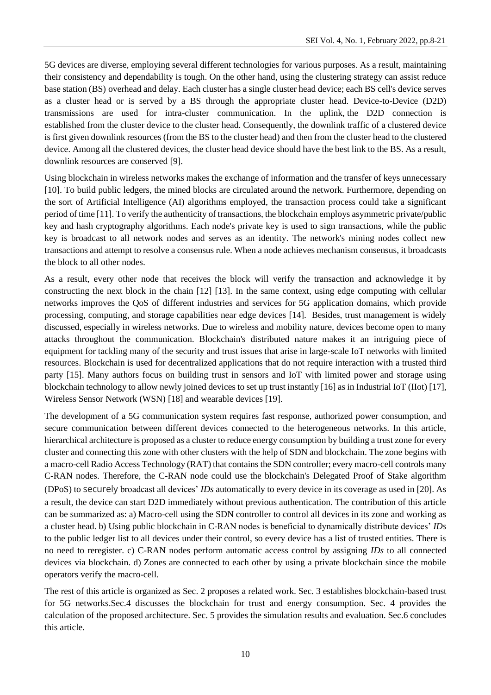5G devices are diverse, employing several different technologies for various purposes. As a result, maintaining their consistency and dependability is tough. On the other hand, using the clustering strategy can assist reduce base station (BS) overhead and delay. Each cluster has a single cluster head device; each BS cell's device serves as a cluster head or is served by a BS through the appropriate cluster head. Device-to-Device (D2D) transmissions are used for intra-cluster communication. In the uplink, the D2D connection is established from the cluster device to the cluster head. Consequently, the downlink traffic of a clustered device is first given downlink resources (from the BS to the cluster head) and then from the cluster head to the clustered device. Among all the clustered devices, the cluster head device should have the best link to the BS. As a result, downlink resources are conserved [9].

Using blockchain in wireless networks makes the exchange of information and the transfer of keys unnecessary [10]. To build public ledgers, the mined blocks are circulated around the network. Furthermore, depending on the sort of Artificial Intelligence (AI) algorithms employed, the transaction process could take a significant period of time [11]. To verify the authenticity of transactions, the blockchain employs asymmetric private/public key and hash cryptography algorithms. Each node's private key is used to sign transactions, while the public key is broadcast to all network nodes and serves as an identity. The network's mining nodes collect new transactions and attempt to resolve a consensus rule. When a node achieves mechanism consensus, it broadcasts the block to all other nodes.

As a result, every other node that receives the block will verify the transaction and acknowledge it by constructing the next block in the chain [12] [13]. In the same context, using edge computing with cellular networks improves the QoS of different industries and services for 5G application domains, which provide processing, computing, and storage capabilities near edge devices [14]. Besides, trust management is widely discussed, especially in wireless networks. Due to wireless and mobility nature, devices become open to many attacks throughout the communication. Blockchain's distributed nature makes it an intriguing piece of equipment for tackling many of the security and trust issues that arise in large-scale IoT networks with limited resources. Blockchain is used for decentralized applications that do not require interaction with a trusted third party [15]. Many authors focus on building trust in sensors and IoT with limited power and storage using blockchain technology to allow newly joined devices to set up trust instantly [16] as in Industrial IoT (IIot) [17], Wireless Sensor Network (WSN) [18] and wearable devices [19].

The development of a 5G communication system requires fast response, authorized power consumption, and secure communication between different devices connected to the heterogeneous networks. In this article, hierarchical architecture is proposed as a cluster to reduce energy consumption by building a trust zone for every cluster and connecting this zone with other clusters with the help of SDN and blockchain. The zone begins with a macro-cell Radio Access Technology (RAT) that contains the SDN controller; every macro-cell controls many C-RAN nodes. Therefore, the C-RAN node could use the blockchain's Delegated Proof of Stake algorithm (DPoS) to securely broadcast all devices' *IDs* automatically to every device in its coverage as used in [20]. As a result, the device can start D2D immediately without previous authentication. The contribution of this article can be summarized as: a) Macro-cell using the SDN controller to control all devices in its zone and working as a cluster head. b) Using public blockchain in C-RAN nodes is beneficial to dynamically distribute devices' *IDs* to the public ledger list to all devices under their control, so every device has a list of trusted entities. There is no need to reregister. c) C-RAN nodes perform automatic access control by assigning *IDs* to all connected devices via blockchain. d) Zones are connected to each other by using a private blockchain since the mobile operators verify the macro-cell.

The rest of this article is organized as Sec. 2 proposes a related work. Sec. 3 establishes blockchain-based trust for 5G networks.Sec.4 discusses the blockchain for trust and energy consumption. Sec. 4 provides the calculation of the proposed architecture. Sec. 5 provides the simulation results and evaluation. Sec.6 concludes this article.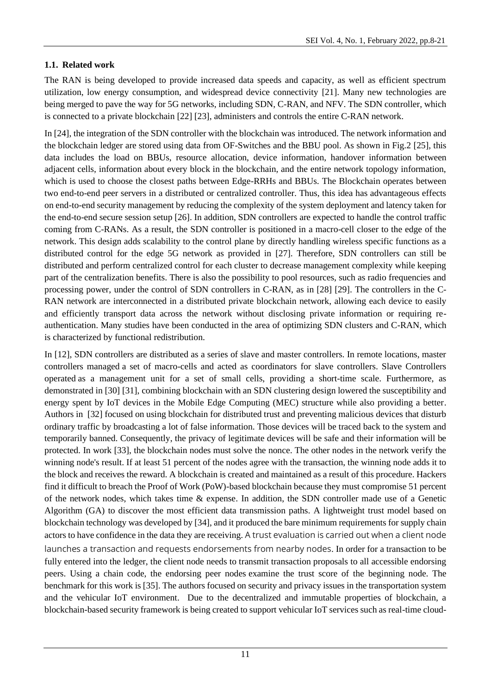# **1.1. Related work**

The RAN is being developed to provide increased data speeds and capacity, as well as efficient spectrum utilization, low energy consumption, and widespread device connectivity [21]. Many new technologies are being merged to pave the way for 5G networks, including SDN, C-RAN, and NFV. The SDN controller, which is connected to a private blockchain [22] [23], administers and controls the entire C-RAN network.

In [24], the integration of the SDN controller with the blockchain was introduced. The network information and the blockchain ledger are stored using data from OF-Switches and the BBU pool. As shown in Fig.2 [25], this data includes the load on BBUs, resource allocation, device information, handover information between adjacent cells, information about every block in the blockchain, and the entire network topology information, which is used to choose the closest paths between Edge-RRHs and BBUs. The Blockchain operates between two end-to-end peer servers in a distributed or centralized controller. Thus, this idea has advantageous effects on end-to-end security management by reducing the complexity of the system deployment and latency taken for the end-to-end secure session setup [26]. In addition, SDN controllers are expected to handle the control traffic coming from C-RANs. As a result, the SDN controller is positioned in a macro-cell closer to the edge of the network. This design adds scalability to the control plane by directly handling wireless specific functions as a distributed control for the edge 5G network as provided in [27]. Therefore, SDN controllers can still be distributed and perform centralized control for each cluster to decrease management complexity while keeping part of the centralization benefits. There is also the possibility to pool resources, such as radio frequencies and processing power, under the control of SDN controllers in C-RAN, as in [28] [29]. The controllers in the C-RAN network are interconnected in a distributed private blockchain network, allowing each device to easily and efficiently transport data across the network without disclosing private information or requiring reauthentication. Many studies have been conducted in the area of optimizing SDN clusters and C-RAN, which is characterized by functional redistribution.

In [12], SDN controllers are distributed as a series of slave and master controllers. In remote locations, master controllers managed a set of macro-cells and acted as coordinators for slave controllers. Slave Controllers operated as a management unit for a set of small cells, providing a short-time scale. Furthermore, as demonstrated in [30] [31], combining blockchain with an SDN clustering design lowered the susceptibility and energy spent by IoT devices in the Mobile Edge Computing (MEC) structure while also providing a better. Authors in [32] focused on using blockchain for distributed trust and preventing malicious devices that disturb ordinary traffic by broadcasting a lot of false information. Those devices will be traced back to the system and temporarily banned. Consequently, the privacy of legitimate devices will be safe and their information will be protected. In work [33], the blockchain nodes must solve the nonce. The other nodes in the network verify the winning node's result. If at least 51 percent of the nodes agree with the transaction, the winning node adds it to the block and receives the reward. A blockchain is created and maintained as a result of this procedure. Hackers find it difficult to breach the Proof of Work (PoW)-based blockchain because they must compromise 51 percent of the network nodes, which takes time & expense. In addition, the SDN controller made use of a Genetic Algorithm (GA) to discover the most efficient data transmission paths. A lightweight trust model based on blockchain technology was developed by [34], and it produced the bare minimum requirements for supply chain actors to have confidence in the data they are receiving. A trust evaluation is carried out when a client node launches a transaction and requests endorsements from nearby nodes. In order for a transaction to be fully entered into the ledger, the client node needs to transmit transaction proposals to all accessible endorsing peers. Using a chain code, the endorsing peer nodes examine the trust score of the beginning node. The benchmark for this work is [35]. The authors focused on security and privacy issues in the transportation system and the vehicular IoT environment. Due to the decentralized and immutable properties of blockchain, a blockchain-based security framework is being created to support vehicular IoT services such as real-time cloud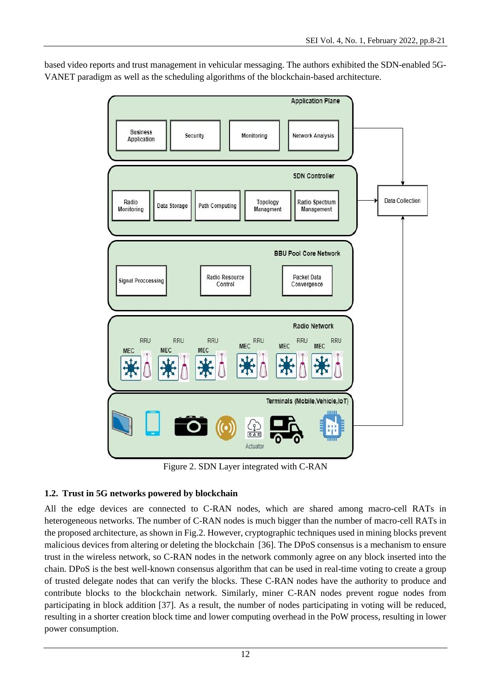based video reports and trust management in vehicular messaging. The authors exhibited the SDN-enabled 5G-VANET paradigm as well as the scheduling algorithms of the blockchain-based architecture.



Figure 2. SDN Layer integrated with C-RAN

# **1.2. Trust in 5G networks powered by blockchain**

All the edge devices are connected to C-RAN nodes, which are shared among macro-cell RATs in heterogeneous networks. The number of C-RAN nodes is much bigger than the number of macro-cell RATs in the proposed architecture, as shown in Fig.2. However, cryptographic techniques used in mining blocks prevent malicious devices from altering or deleting the blockchain [36]. The DPoS consensus is a mechanism to ensure trust in the wireless network, so C-RAN nodes in the network commonly agree on any block inserted into the chain. DPoS is the best well-known consensus algorithm that can be used in real-time voting to create a group of trusted delegate nodes that can verify the blocks. These C-RAN nodes have the authority to produce and contribute blocks to the blockchain network. Similarly, miner C-RAN nodes prevent rogue nodes from participating in block addition [37]. As a result, the number of nodes participating in voting will be reduced, resulting in a shorter creation block time and lower computing overhead in the PoW process, resulting in lower power consumption.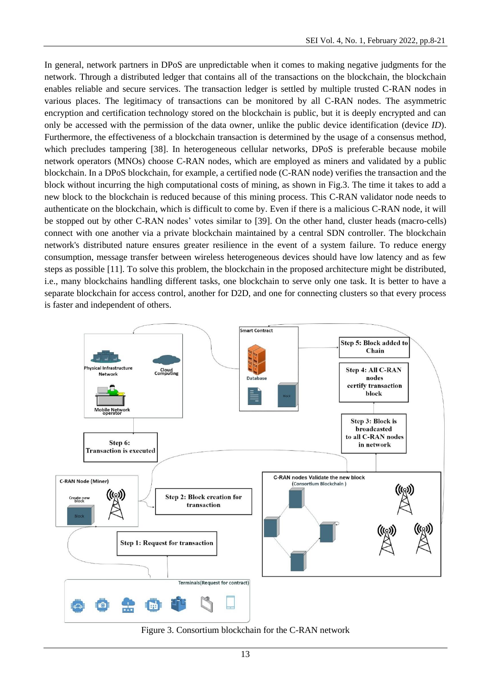In general, network partners in DPoS are unpredictable when it comes to making negative judgments for the network. Through a distributed ledger that contains all of the transactions on the blockchain, the blockchain enables reliable and secure services. The transaction ledger is settled by multiple trusted C-RAN nodes in various places. The legitimacy of transactions can be monitored by all C-RAN nodes. The asymmetric encryption and certification technology stored on the blockchain is public, but it is deeply encrypted and can only be accessed with the permission of the data owner, unlike the public device identification (device *ID*). Furthermore, the effectiveness of a blockchain transaction is determined by the usage of a consensus method, which precludes tampering [38]. In heterogeneous cellular networks, DPoS is preferable because mobile network operators (MNOs) choose C-RAN nodes, which are employed as miners and validated by a public blockchain. In a DPoS blockchain, for example, a certified node (C-RAN node) verifies the transaction and the block without incurring the high computational costs of mining, as shown in Fig.3. The time it takes to add a new block to the blockchain is reduced because of this mining process. This C-RAN validator node needs to authenticate on the blockchain, which is difficult to come by. Even if there is a malicious C-RAN node, it will be stopped out by other C-RAN nodes' votes similar to [39]. On the other hand, cluster heads (macro-cells) connect with one another via a private blockchain maintained by a central SDN controller. The blockchain network's distributed nature ensures greater resilience in the event of a system failure. To reduce energy consumption, message transfer between wireless heterogeneous devices should have low latency and as few steps as possible [11]. To solve this problem, the blockchain in the proposed architecture might be distributed, i.e., many blockchains handling different tasks, one blockchain to serve only one task. It is better to have a separate blockchain for access control, another for D2D, and one for connecting clusters so that every process is faster and independent of others.



Figure 3. Consortium blockchain for the C-RAN network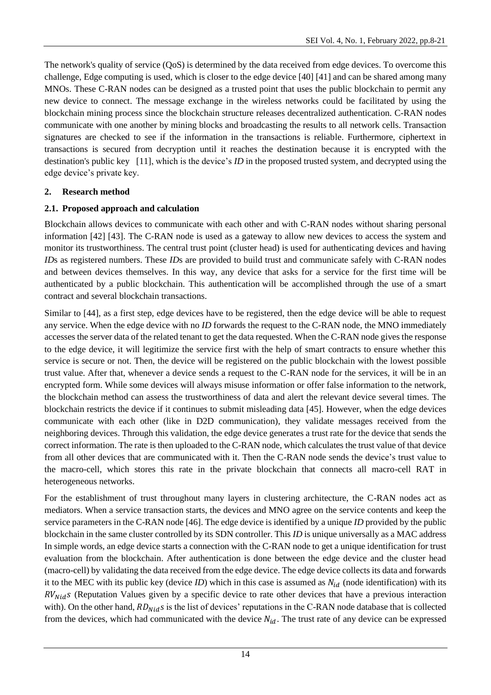The network's quality of service (QoS) is determined by the data received from edge devices. To overcome this challenge, Edge computing is used, which is closer to the edge device [40] [41] and can be shared among many MNOs. These C-RAN nodes can be designed as a trusted point that uses the public blockchain to permit any new device to connect. The message exchange in the wireless networks could be facilitated by using the blockchain mining process since the blockchain structure releases decentralized authentication. C-RAN nodes communicate with one another by mining blocks and broadcasting the results to all network cells. Transaction signatures are checked to see if the information in the transactions is reliable. Furthermore, ciphertext in transactions is secured from decryption until it reaches the destination because it is encrypted with the destination's public key [11], which is the device's *ID* in the proposed trusted system, and decrypted using the edge device's private key.

### **2. Research method**

### **2.1. Proposed approach and calculation**

Blockchain allows devices to communicate with each other and with C-RAN nodes without sharing personal information [42] [43]. The C-RAN node is used as a gateway to allow new devices to access the system and monitor its trustworthiness. The central trust point (cluster head) is used for authenticating devices and having *ID*s as registered numbers. These *ID*s are provided to build trust and communicate safely with C-RAN nodes and between devices themselves. In this way, any device that asks for a service for the first time will be authenticated by a public blockchain. This authentication will be accomplished through the use of a smart contract and several blockchain transactions.

Similar to [44], as a first step, edge devices have to be registered, then the edge device will be able to request any service. When the edge device with no *ID* forwards the request to the C-RAN node, the MNO immediately accesses the server data of the related tenant to get the data requested. When the C-RAN node gives the response to the edge device, it will legitimize the service first with the help of smart contracts to ensure whether this service is secure or not. Then, the device will be registered on the public blockchain with the lowest possible trust value. After that, whenever a device sends a request to the C-RAN node for the services, it will be in an encrypted form. While some devices will always misuse information or offer false information to the network, the blockchain method can assess the trustworthiness of data and alert the relevant device several times. The blockchain restricts the device if it continues to submit misleading data [45]. However, when the edge devices communicate with each other (like in D2D communication), they validate messages received from the neighboring devices. Through this validation, the edge device generates a trust rate for the device that sends the correct information. The rate is then uploaded to the C-RAN node, which calculates the trust value of that device from all other devices that are communicated with it. Then the C-RAN node sends the device's trust value to the macro-cell, which stores this rate in the private blockchain that connects all macro-cell RAT in heterogeneous networks.

For the establishment of trust throughout many layers in clustering architecture, the C-RAN nodes act as mediators. When a service transaction starts, the devices and MNO agree on the service contents and keep the service parameters in the C-RAN node [46]. The edge device is identified by a unique *ID* provided by the public blockchain in the same cluster controlled by its SDN controller. This *ID* is unique universally as a MAC address In simple words, an edge device starts a connection with the C-RAN node to get a unique identification for trust evaluation from the blockchain. After authentication is done between the edge device and the cluster head (macro-cell) by validating the data received from the edge device. The edge device collects its data and forwards it to the MEC with its public key (device *ID*) which in this case is assumed as  $N_{id}$  (node identification) with its  $RV_{Nid}$ s (Reputation Values given by a specific device to rate other devices that have a previous interaction with). On the other hand,  $RD_{Nid}$ s is the list of devices' reputations in the C-RAN node database that is collected from the devices, which had communicated with the device  $N_{id}$ . The trust rate of any device can be expressed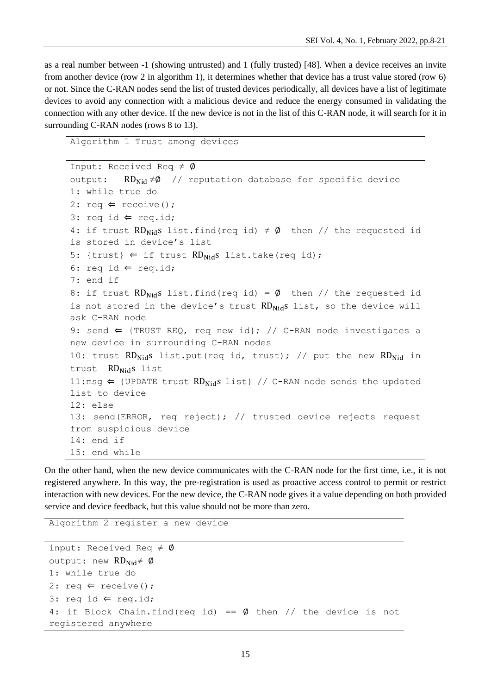as a real number between -1 (showing untrusted) and 1 (fully trusted) [48]. When a device receives an invite from another device (row 2 in algorithm 1), it determines whether that device has a trust value stored (row 6) or not. Since the C-RAN nodes send the list of trusted devices periodically, all devices have a list of legitimate devices to avoid any connection with a malicious device and reduce the energy consumed in validating the connection with any other device. If the new device is not in the list of this C-RAN node, it will search for it in surrounding C-RAN nodes (rows 8 to 13).

```
Algorithm 1 Trust among devices
```

```
Input: Received Req \neq \emptysetoutput: RD_{\text{Nid}} \neq \emptyset // reputation database for specific device
1: while true do
2: req \Leftarrow receive();
3: req id \Leftarrow req.id;
4: if trust RD<sub>Nid</sub>s list.find(req id) \neq \emptyset then // the requested id
is stored in device's list
5: {trust} \Leftarrow if trust RD<sub>Nid</sub>s list.take(req id);
6: req id \Leftarrow req.id;
7: end if
8: if trust RD_{Nid}s list.find(req id) = Ø then // the requested id
is not stored in the device's trust RD<sub>Nid</sub>s list, so the device will
ask C-RAN node
9: send \Leftarrow {TRUST REQ, req new id}; // C-RAN node investigates a
new device in surrounding C-RAN nodes
10: trust RD_{Nid}s list.put(req id, trust); // put the new RD_{Nid} in
trust RD<sub>Nid</sub>s list
11:msg \Leftarrow {UPDATE trust RD<sub>Nid</sub>s list} // C-RAN node sends the updated
list to device
12: else
13: send(ERROR, req reject); // trusted device rejects request 
from suspicious device
14: end if
15: end while
```
On the other hand, when the new device communicates with the C-RAN node for the first time, i.e., it is not registered anywhere. In this way, the pre-registration is used as proactive access control to permit or restrict interaction with new devices. For the new device, the C-RAN node gives it a value depending on both provided service and device feedback, but this value should not be more than zero.

```
Algorithm 2 register a new device
```

```
input: Received Req \neq \emptysetoutput: new RD_{\text{Nid}} \neq \emptyset1: while true do
2: req \Leftarrow receive();
3: req id \Leftarrow req.id;
4: if Block Chain.find(req id) == \emptyset then // the device is not
registered anywhere
```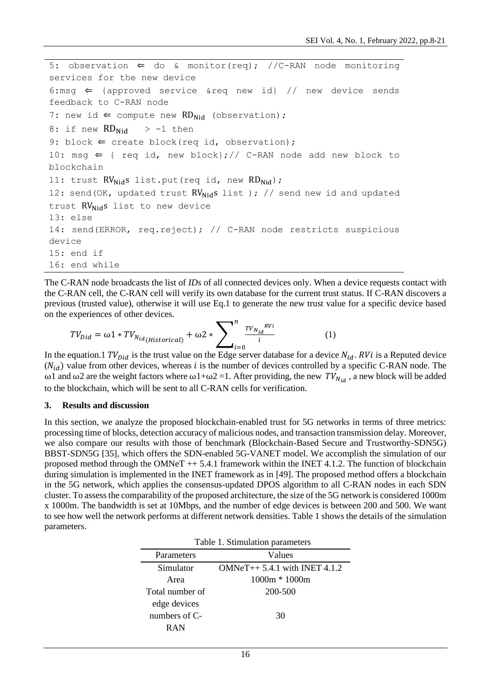```
5: observation \Leftarrow do & monitor(req); //C-RAN node monitoring
services for the new device
6:msg \Leftarrow {approved service &req new id} // new device sends
feedback to C-RAN node 
7: new id \Leftarrow compute new RD<sub>Nid</sub> (observation);
8: if new RD_{Nid} > -1 then
9: block \Leftarrow create block(req id, observation);
10: msg \Leftarrow { req id, new block};// C-RAN node add new block to
blockchain
11: trust RV_{\text{Nid}}s list.put(req id, new RD_{\text{Nid}});
12: send(OK, updated trust RV_{Nid}S list ); // send new id and updated
trust RV_{\text{Nid}}s list to new device
13: else
14: send(ERROR, req.reject); // C-RAN node restricts suspicious 
device
15: end if
16: end while
```
The C-RAN node broadcasts the list of *IDs* of all connected devices only. When a device requests contact with the C-RAN cell, the C-RAN cell will verify its own database for the current trust status. If C-RAN discovers a previous (trusted value), otherwise it will use Eq.1 to generate the new trust value for a specific device based on the experiences of other devices.

$$
TV_{Did} = \omega 1 * TV_{N_{id}(Historical)} + \omega 2 * \sum\nolimits_{i=0}^{n} \frac{TV_{N_{id}}^{RVi}}{i}
$$
\n(1)

In the equation.1  $TV_{Did}$  is the trust value on the Edge server database for a device  $N_{id}$ . RVi is a Reputed device  $(N_{id})$  value from other devices, whereas *i* is the number of devices controlled by a specific C-RAN node. The ω1 and ω2 are the weight factors where ω1+ω2 =1. After providing, the new  $TV_{N_{id}}$ , a new block will be added to the blockchain, which will be sent to all C-RAN cells for verification.

#### **3. Results and discussion**

In this section, we analyze the proposed blockchain-enabled trust for 5G networks in terms of three metrics: processing time of blocks, detection accuracy of malicious nodes, and transaction transmission delay. Moreover, we also compare our results with those of benchmark (Blockchain-Based Secure and Trustworthy-SDN5G) BBST-SDN5G [35], which offers the SDN-enabled 5G-VANET model. We accomplish the simulation of our proposed method through the OMNeT ++ 5.4.1 framework within the INET 4.1.2. The function of blockchain during simulation is implemented in the INET framework as in [49]. The proposed method offers a blockchain in the 5G network, which applies the consensus-updated DPOS algorithm to all C-RAN nodes in each SDN cluster. To assess the comparability of the proposed architecture, the size of the 5G network is considered 1000m x 1000m. The bandwidth is set at 10Mbps, and the number of edge devices is between 200 and 500. We want to see how well the network performs at different network densities. Table 1 shows the details of the simulation parameters.

| Table 1. Stimulation parameters |                                 |  |  |
|---------------------------------|---------------------------------|--|--|
| Parameters                      | Values                          |  |  |
| Simulator                       | $OMNeT++ 5.4.1$ with INET 4.1.2 |  |  |
| Area                            | $1000m * 1000m$                 |  |  |
| Total number of                 | 200-500                         |  |  |
| edge devices                    |                                 |  |  |
| numbers of $C$ -                | 30                              |  |  |
| <b>RAN</b>                      |                                 |  |  |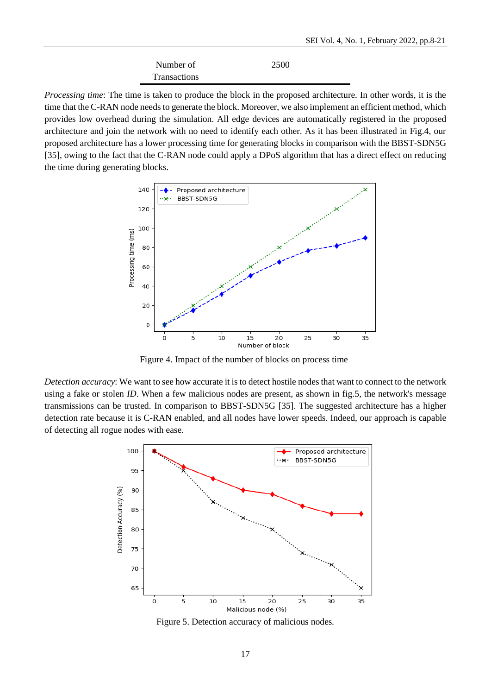| Number of    | 2500 |
|--------------|------|
| Transactions |      |

*Processing time*: The time is taken to produce the block in the proposed architecture. In other words, it is the time that the C-RAN node needs to generate the block. Moreover, we also implement an efficient method, which provides low overhead during the simulation. All edge devices are automatically registered in the proposed architecture and join the network with no need to identify each other. As it has been illustrated in Fig.4, our proposed architecture has a lower processing time for generating blocks in comparison with the BBST-SDN5G [35], owing to the fact that the C-RAN node could apply a DPoS algorithm that has a direct effect on reducing the time during generating blocks.



Figure 4. Impact of the number of blocks on process time

*Detection accuracy*: We want to see how accurate it is to detect hostile nodes that want to connect to the network using a fake or stolen *ID*. When a few malicious nodes are present, as shown in fig.5, the network's message transmissions can be trusted. In comparison to BBST-SDN5G [35]. The suggested architecture has a higher detection rate because it is C-RAN enabled, and all nodes have lower speeds. Indeed, our approach is capable of detecting all rogue nodes with ease.



Figure 5. Detection accuracy of malicious nodes*.*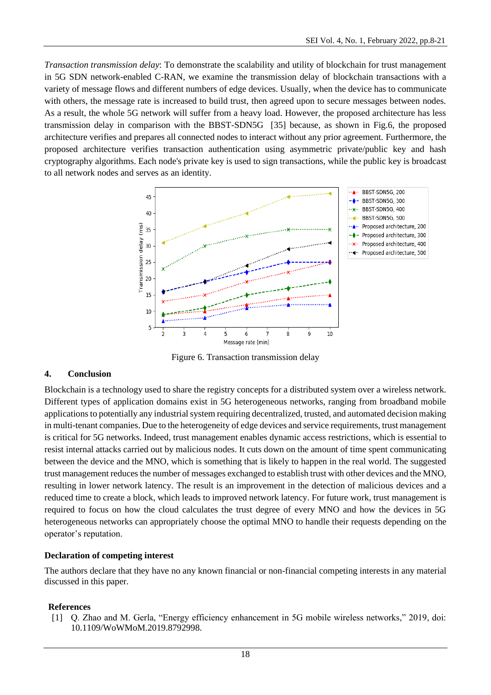*Transaction transmission delay*: To demonstrate the scalability and utility of blockchain for trust management in 5G SDN network-enabled C-RAN, we examine the transmission delay of blockchain transactions with a variety of message flows and different numbers of edge devices. Usually, when the device has to communicate with others, the message rate is increased to build trust, then agreed upon to secure messages between nodes. As a result, the whole 5G network will suffer from a heavy load. However, the proposed architecture has less transmission delay in comparison with the BBST-SDN5G [35] because, as shown in Fig.6, the proposed architecture verifies and prepares all connected nodes to interact without any prior agreement. Furthermore, the proposed architecture verifies transaction authentication using asymmetric private/public key and hash cryptography algorithms. Each node's private key is used to sign transactions, while the public key is broadcast to all network nodes and serves as an identity.



Figure 6. Transaction transmission delay

#### **4. Conclusion**

Blockchain is a technology used to share the registry concepts for a distributed system over a wireless network. Different types of application domains exist in 5G heterogeneous networks, ranging from broadband mobile applications to potentially any industrial system requiring decentralized, trusted, and automated decision making in multi-tenant companies. Due to the heterogeneity of edge devices and service requirements, trust management is critical for 5G networks. Indeed, trust management enables dynamic access restrictions, which is essential to resist internal attacks carried out by malicious nodes. It cuts down on the amount of time spent communicating between the device and the MNO, which is something that is likely to happen in the real world. The suggested trust management reduces the number of messages exchanged to establish trust with other devices and the MNO, resulting in lower network latency. The result is an improvement in the detection of malicious devices and a reduced time to create a block, which leads to improved network latency. For future work, trust management is required to focus on how the cloud calculates the trust degree of every MNO and how the devices in 5G heterogeneous networks can appropriately choose the optimal MNO to handle their requests depending on the operator's reputation.

### **Declaration of competing interest**

The authors declare that they have no any known financial or non-financial competing interests in any material discussed in this paper.

#### **References**

[1] Q. Zhao and M. Gerla, "Energy efficiency enhancement in 5G mobile wireless networks," 2019, doi: 10.1109/WoWMoM.2019.8792998.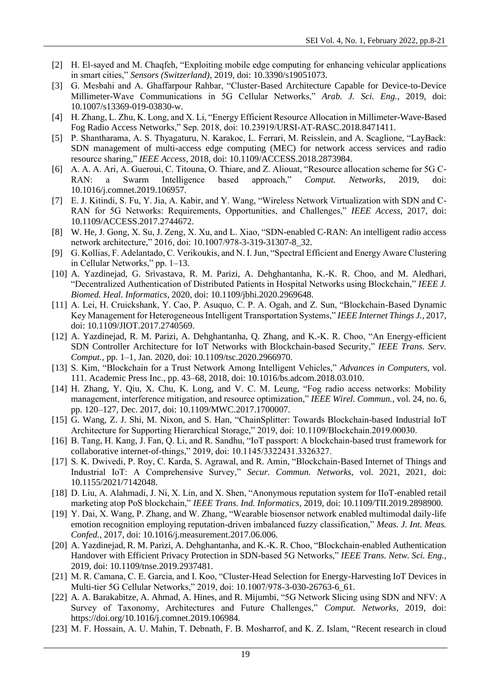- [2] H. El-sayed and M. Chaqfeh, "Exploiting mobile edge computing for enhancing vehicular applications in smart cities," *Sensors (Switzerland)*, 2019, doi: 10.3390/s19051073.
- [3] G. Mesbahi and A. Ghaffarpour Rahbar, "Cluster-Based Architecture Capable for Device-to-Device Millimeter-Wave Communications in 5G Cellular Networks," *Arab. J. Sci. Eng.*, 2019, doi: 10.1007/s13369-019-03830-w.
- [4] H. Zhang, L. Zhu, K. Long, and X. Li, "Energy Efficient Resource Allocation in Millimeter-Wave-Based Fog Radio Access Networks," Sep. 2018, doi: 10.23919/URSI-AT-RASC.2018.8471411.
- [5] P. Shantharama, A. S. Thyagaturu, N. Karakoc, L. Ferrari, M. Reisslein, and A. Scaglione, "LayBack: SDN management of multi-access edge computing (MEC) for network access services and radio resource sharing," *IEEE Access*, 2018, doi: 10.1109/ACCESS.2018.2873984.
- [6] A. A. A. Ari, A. Gueroui, C. Titouna, O. Thiare, and Z. Aliouat, "Resource allocation scheme for 5G C-RAN: a Swarm Intelligence based approach," *Comput. Networks*, 2019, doi: 10.1016/j.comnet.2019.106957.
- [7] E. J. Kitindi, S. Fu, Y. Jia, A. Kabir, and Y. Wang, "Wireless Network Virtualization with SDN and C-RAN for 5G Networks: Requirements, Opportunities, and Challenges," *IEEE Access*, 2017, doi: 10.1109/ACCESS.2017.2744672.
- [8] W. He, J. Gong, X. Su, J. Zeng, X. Xu, and L. Xiao, "SDN-enabled C-RAN: An intelligent radio access network architecture," 2016, doi: 10.1007/978-3-319-31307-8\_32.
- [9] G. Kollias, F. Adelantado, C. Verikoukis, and N. I. Jun, "Spectral Efficient and Energy Aware Clustering in Cellular Networks," pp. 1–13.
- [10] A. Yazdinejad, G. Srivastava, R. M. Parizi, A. Dehghantanha, K.-K. R. Choo, and M. Aledhari, "Decentralized Authentication of Distributed Patients in Hospital Networks using Blockchain," *IEEE J. Biomed. Heal. Informatics*, 2020, doi: 10.1109/jbhi.2020.2969648.
- [11] A. Lei, H. Cruickshank, Y. Cao, P. Asuquo, C. P. A. Ogah, and Z. Sun, "Blockchain-Based Dynamic Key Management for Heterogeneous Intelligent Transportation Systems," *IEEE Internet Things J.*, 2017, doi: 10.1109/JIOT.2017.2740569.
- [12] A. Yazdinejad, R. M. Parizi, A. Dehghantanha, Q. Zhang, and K.-K. R. Choo, "An Energy-efficient SDN Controller Architecture for IoT Networks with Blockchain-based Security," *IEEE Trans. Serv. Comput.*, pp. 1–1, Jan. 2020, doi: 10.1109/tsc.2020.2966970.
- [13] S. Kim, "Blockchain for a Trust Network Among Intelligent Vehicles," *Advances in Computers*, vol. 111. Academic Press Inc., pp. 43–68, 2018, doi: 10.1016/bs.adcom.2018.03.010.
- [14] H. Zhang, Y. Qiu, X. Chu, K. Long, and V. C. M. Leung, "Fog radio access networks: Mobility management, interference mitigation, and resource optimization," *IEEE Wirel. Commun.*, vol. 24, no. 6, pp. 120–127, Dec. 2017, doi: 10.1109/MWC.2017.1700007.
- [15] G. Wang, Z. J. Shi, M. Nixon, and S. Han, "ChainSplitter: Towards Blockchain-based Industrial IoT Architecture for Supporting Hierarchical Storage," 2019, doi: 10.1109/Blockchain.2019.00030.
- [16] B. Tang, H. Kang, J. Fan, Q. Li, and R. Sandhu, "IoT passport: A blockchain-based trust framework for collaborative internet-of-things," 2019, doi: 10.1145/3322431.3326327.
- [17] S. K. Dwivedi, P. Roy, C. Karda, S. Agrawal, and R. Amin, "Blockchain-Based Internet of Things and Industrial IoT: A Comprehensive Survey," *Secur. Commun. Networks*, vol. 2021, 2021, doi: 10.1155/2021/7142048.
- [18] D. Liu, A. Alahmadi, J. Ni, X. Lin, and X. Shen, "Anonymous reputation system for IIoT-enabled retail marketing atop PoS blockchain," *IEEE Trans. Ind. Informatics*, 2019, doi: 10.1109/TII.2019.2898900.
- [19] Y. Dai, X. Wang, P. Zhang, and W. Zhang, "Wearable biosensor network enabled multimodal daily-life emotion recognition employing reputation-driven imbalanced fuzzy classification," *Meas. J. Int. Meas. Confed.*, 2017, doi: 10.1016/j.measurement.2017.06.006.
- [20] A. Yazdinejad, R. M. Parizi, A. Dehghantanha, and K.-K. R. Choo, "Blockchain-enabled Authentication Handover with Efficient Privacy Protection in SDN-based 5G Networks," *IEEE Trans. Netw. Sci. Eng.*, 2019, doi: 10.1109/tnse.2019.2937481.
- [21] M. R. Camana, C. E. Garcia, and I. Koo, "Cluster-Head Selection for Energy-Harvesting IoT Devices in Multi-tier 5G Cellular Networks," 2019, doi: 10.1007/978-3-030-26763-6\_61.
- [22] A. A. Barakabitze, A. Ahmad, A. Hines, and R. Mijumbi, "5G Network Slicing using SDN and NFV: A Survey of Taxonomy, Architectures and Future Challenges," *Comput. Networks*, 2019, doi: https://doi.org/10.1016/j.comnet.2019.106984.
- [23] M. F. Hossain, A. U. Mahin, T. Debnath, F. B. Mosharrof, and K. Z. Islam, "Recent research in cloud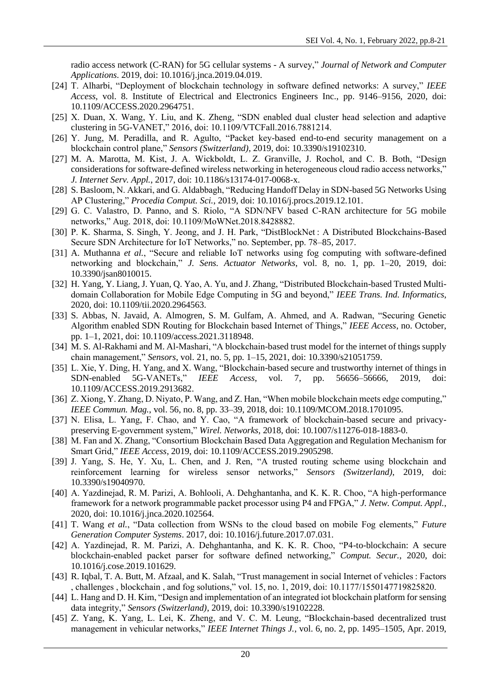radio access network (C-RAN) for 5G cellular systems - A survey," *Journal of Network and Computer Applications*. 2019, doi: 10.1016/j.jnca.2019.04.019.

- [24] T. Alharbi, "Deployment of blockchain technology in software defined networks: A survey," *IEEE Access*, vol. 8. Institute of Electrical and Electronics Engineers Inc., pp. 9146–9156, 2020, doi: 10.1109/ACCESS.2020.2964751.
- [25] X. Duan, X. Wang, Y. Liu, and K. Zheng, "SDN enabled dual cluster head selection and adaptive clustering in 5G-VANET," 2016, doi: 10.1109/VTCFall.2016.7881214.
- [26] Y. Jung, M. Peradilla, and R. Agulto, "Packet key-based end-to-end security management on a blockchain control plane," *Sensors (Switzerland)*, 2019, doi: 10.3390/s19102310.
- [27] M. A. Marotta, M. Kist, J. A. Wickboldt, L. Z. Granville, J. Rochol, and C. B. Both, "Design considerations for software-defined wireless networking in heterogeneous cloud radio access networks," *J. Internet Serv. Appl.*, 2017, doi: 10.1186/s13174-017-0068-x.
- [28] S. Basloom, N. Akkari, and G. Aldabbagh, "Reducing Handoff Delay in SDN-based 5G Networks Using AP Clustering," *Procedia Comput. Sci.*, 2019, doi: 10.1016/j.procs.2019.12.101.
- [29] G. C. Valastro, D. Panno, and S. Riolo, "A SDN/NFV based C-RAN architecture for 5G mobile networks," Aug. 2018, doi: 10.1109/MoWNet.2018.8428882.
- [30] P. K. Sharma, S. Singh, Y. Jeong, and J. H. Park, "DistBlockNet: A Distributed Blockchains-Based Secure SDN Architecture for IoT Networks," no. September, pp. 78–85, 2017.
- [31] A. Muthanna *et al.*, "Secure and reliable IoT networks using fog computing with software-defined networking and blockchain," *J. Sens. Actuator Networks*, vol. 8, no. 1, pp. 1–20, 2019, doi: 10.3390/jsan8010015.
- [32] H. Yang, Y. Liang, J. Yuan, Q. Yao, A. Yu, and J. Zhang, "Distributed Blockchain-based Trusted Multidomain Collaboration for Mobile Edge Computing in 5G and beyond," *IEEE Trans. Ind. Informatics*, 2020, doi: 10.1109/tii.2020.2964563.
- [33] S. Abbas, N. Javaid, A. Almogren, S. M. Gulfam, A. Ahmed, and A. Radwan, "Securing Genetic Algorithm enabled SDN Routing for Blockchain based Internet of Things," *IEEE Access*, no. October, pp. 1–1, 2021, doi: 10.1109/access.2021.3118948.
- [34] M. S. Al-Rakhami and M. Al-Mashari, "A blockchain-based trust model for the internet of things supply chain management," *Sensors*, vol. 21, no. 5, pp. 1–15, 2021, doi: 10.3390/s21051759.
- [35] L. Xie, Y. Ding, H. Yang, and X. Wang, "Blockchain-based secure and trustworthy internet of things in SDN-enabled 5G-VANETs," *IEEE Access*, vol. 7, pp. 56656–56666, 2019, doi: 10.1109/ACCESS.2019.2913682.
- [36] Z. Xiong, Y. Zhang, D. Niyato, P. Wang, and Z. Han, "When mobile blockchain meets edge computing," *IEEE Commun. Mag.*, vol. 56, no. 8, pp. 33–39, 2018, doi: 10.1109/MCOM.2018.1701095.
- [37] N. Elisa, L. Yang, F. Chao, and Y. Cao, "A framework of blockchain-based secure and privacypreserving E-government system," *Wirel. Networks*, 2018, doi: 10.1007/s11276-018-1883-0.
- [38] M. Fan and X. Zhang, "Consortium Blockchain Based Data Aggregation and Regulation Mechanism for Smart Grid," *IEEE Access*, 2019, doi: 10.1109/ACCESS.2019.2905298.
- [39] J. Yang, S. He, Y. Xu, L. Chen, and J. Ren, "A trusted routing scheme using blockchain and reinforcement learning for wireless sensor networks," *Sensors (Switzerland)*, 2019, doi: 10.3390/s19040970.
- [40] A. Yazdinejad, R. M. Parizi, A. Bohlooli, A. Dehghantanha, and K. K. R. Choo, "A high-performance framework for a network programmable packet processor using P4 and FPGA," *J. Netw. Comput. Appl.*, 2020, doi: 10.1016/j.jnca.2020.102564.
- [41] T. Wang *et al.*, "Data collection from WSNs to the cloud based on mobile Fog elements," *Future Generation Computer Systems*. 2017, doi: 10.1016/j.future.2017.07.031.
- [42] A. Yazdinejad, R. M. Parizi, A. Dehghantanha, and K. K. R. Choo, "P4-to-blockchain: A secure blockchain-enabled packet parser for software defined networking," *Comput. Secur.*, 2020, doi: 10.1016/j.cose.2019.101629.
- [43] R. Iqbal, T. A. Butt, M. Afzaal, and K. Salah, "Trust management in social Internet of vehicles : Factors , challenges , blockchain , and fog solutions," vol. 15, no. 1, 2019, doi: 10.1177/1550147719825820.
- [44] L. Hang and D. H. Kim, "Design and implementation of an integrated iot blockchain platform for sensing data integrity," *Sensors (Switzerland)*, 2019, doi: 10.3390/s19102228.
- [45] Z. Yang, K. Yang, L. Lei, K. Zheng, and V. C. M. Leung, "Blockchain-based decentralized trust management in vehicular networks," *IEEE Internet Things J.*, vol. 6, no. 2, pp. 1495–1505, Apr. 2019,